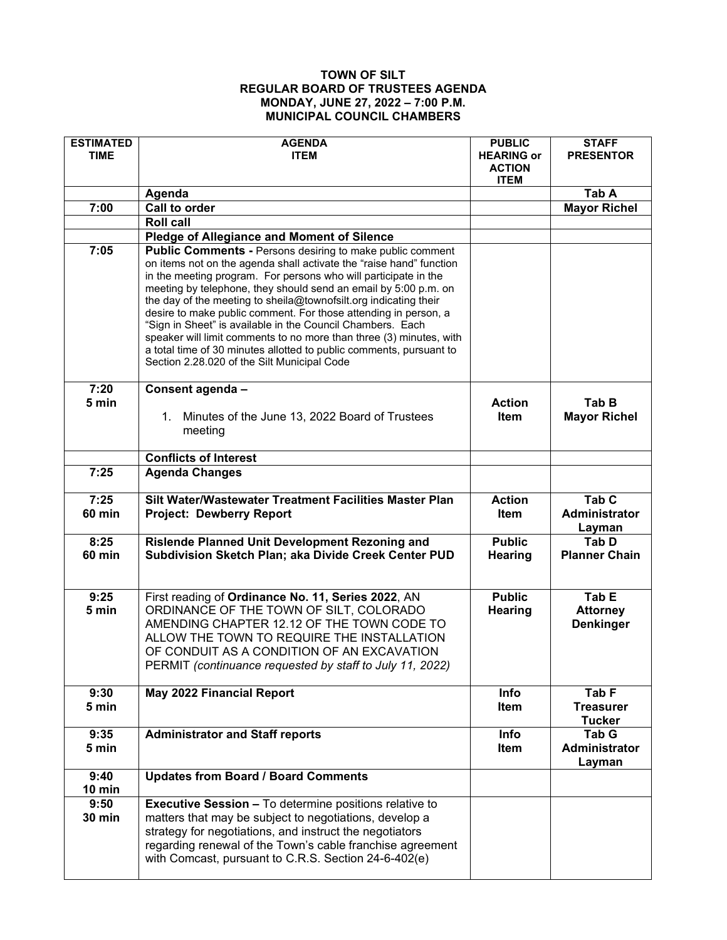## **TOWN OF SILT REGULAR BOARD OF TRUSTEES AGENDA MONDAY, JUNE 27, 2022 – 7:00 P.M. MUNICIPAL COUNCIL CHAMBERS**

| <b>ESTIMATED</b><br><b>TIME</b> | <b>AGENDA</b><br><b>ITEM</b>                                                                                                                                                                                                                                                                                                                                                                                                                                                                                                                                                                                                                                                    | <b>PUBLIC</b><br><b>HEARING or</b><br><b>ACTION</b><br><b>ITEM</b> | <b>STAFF</b><br><b>PRESENTOR</b>                      |
|---------------------------------|---------------------------------------------------------------------------------------------------------------------------------------------------------------------------------------------------------------------------------------------------------------------------------------------------------------------------------------------------------------------------------------------------------------------------------------------------------------------------------------------------------------------------------------------------------------------------------------------------------------------------------------------------------------------------------|--------------------------------------------------------------------|-------------------------------------------------------|
|                                 | Agenda                                                                                                                                                                                                                                                                                                                                                                                                                                                                                                                                                                                                                                                                          |                                                                    | Tab A                                                 |
| 7:00                            | <b>Call to order</b>                                                                                                                                                                                                                                                                                                                                                                                                                                                                                                                                                                                                                                                            |                                                                    | <b>Mayor Richel</b>                                   |
|                                 | <b>Roll call</b>                                                                                                                                                                                                                                                                                                                                                                                                                                                                                                                                                                                                                                                                |                                                                    |                                                       |
|                                 | <b>Pledge of Allegiance and Moment of Silence</b>                                                                                                                                                                                                                                                                                                                                                                                                                                                                                                                                                                                                                               |                                                                    |                                                       |
| 7:05                            | <b>Public Comments - Persons desiring to make public comment</b><br>on items not on the agenda shall activate the "raise hand" function<br>in the meeting program. For persons who will participate in the<br>meeting by telephone, they should send an email by 5:00 p.m. on<br>the day of the meeting to sheila@townofsilt.org indicating their<br>desire to make public comment. For those attending in person, a<br>"Sign in Sheet" is available in the Council Chambers. Each<br>speaker will limit comments to no more than three (3) minutes, with<br>a total time of 30 minutes allotted to public comments, pursuant to<br>Section 2.28.020 of the Silt Municipal Code |                                                                    |                                                       |
| 7:20<br>5 min                   | Consent agenda -<br>1. Minutes of the June 13, 2022 Board of Trustees<br>meeting                                                                                                                                                                                                                                                                                                                                                                                                                                                                                                                                                                                                | <b>Action</b><br><b>Item</b>                                       | Tab B<br><b>Mayor Richel</b>                          |
|                                 | <b>Conflicts of Interest</b>                                                                                                                                                                                                                                                                                                                                                                                                                                                                                                                                                                                                                                                    |                                                                    |                                                       |
| 7:25                            | <b>Agenda Changes</b>                                                                                                                                                                                                                                                                                                                                                                                                                                                                                                                                                                                                                                                           |                                                                    |                                                       |
| 7:25<br><b>60 min</b>           | Silt Water/Wastewater Treatment Facilities Master Plan<br><b>Project: Dewberry Report</b>                                                                                                                                                                                                                                                                                                                                                                                                                                                                                                                                                                                       | <b>Action</b><br>Item                                              | Tab <sub>C</sub><br><b>Administrator</b><br>Layman    |
| 8:25<br><b>60 min</b>           | Rislende Planned Unit Development Rezoning and<br>Subdivision Sketch Plan; aka Divide Creek Center PUD                                                                                                                                                                                                                                                                                                                                                                                                                                                                                                                                                                          | <b>Public</b><br>Hearing                                           | <b>Tab D</b><br><b>Planner Chain</b>                  |
| 9:25<br>5 min                   | First reading of Ordinance No. 11, Series 2022, AN<br>ORDINANCE OF THE TOWN OF SILT, COLORADO<br>AMENDING CHAPTER 12.12 OF THE TOWN CODE TO<br>ALLOW THE TOWN TO REQUIRE THE INSTALLATION<br>OF CONDUIT AS A CONDITION OF AN EXCAVATION<br>PERMIT (continuance requested by staff to July 11, 2022)                                                                                                                                                                                                                                                                                                                                                                             | <b>Public</b><br>Hearing                                           | Tab E<br><b>Attorney</b><br><b>Denkinger</b>          |
| 9:30<br>5 min                   | <b>May 2022 Financial Report</b>                                                                                                                                                                                                                                                                                                                                                                                                                                                                                                                                                                                                                                                | Info<br>Item                                                       | Tab <sub>F</sub><br><b>Treasurer</b><br><b>Tucker</b> |
| 9:35<br>5 min                   | <b>Administrator and Staff reports</b>                                                                                                                                                                                                                                                                                                                                                                                                                                                                                                                                                                                                                                          | Info<br>Item                                                       | Tab G<br><b>Administrator</b><br>Layman               |
| 9:40<br>10 min                  | <b>Updates from Board / Board Comments</b>                                                                                                                                                                                                                                                                                                                                                                                                                                                                                                                                                                                                                                      |                                                                    |                                                       |
| 9:50<br><b>30 min</b>           | <b>Executive Session - To determine positions relative to</b><br>matters that may be subject to negotiations, develop a<br>strategy for negotiations, and instruct the negotiators<br>regarding renewal of the Town's cable franchise agreement<br>with Comcast, pursuant to C.R.S. Section 24-6-402(e)                                                                                                                                                                                                                                                                                                                                                                         |                                                                    |                                                       |